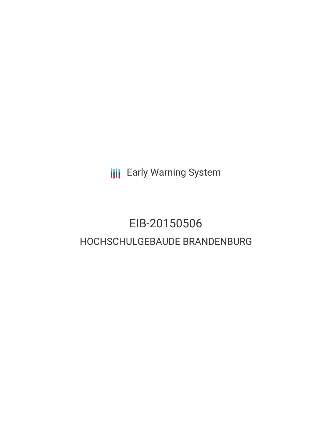**III** Early Warning System

# EIB-20150506 HOCHSCHULGEBAUDE BRANDENBURG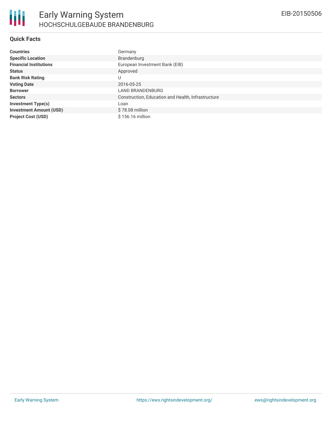

#### **Quick Facts**

| <b>Countries</b>               | Germany                                            |
|--------------------------------|----------------------------------------------------|
| <b>Specific Location</b>       | Brandenburg                                        |
| <b>Financial Institutions</b>  | European Investment Bank (EIB)                     |
| <b>Status</b>                  | Approved                                           |
| <b>Bank Risk Rating</b>        | U                                                  |
| <b>Voting Date</b>             | 2016-05-25                                         |
| <b>Borrower</b>                | LAND BRANDENBURG                                   |
| <b>Sectors</b>                 | Construction, Education and Health, Infrastructure |
| <b>Investment Type(s)</b>      | Loan                                               |
| <b>Investment Amount (USD)</b> | $$78.08$ million                                   |
| <b>Project Cost (USD)</b>      | \$156.16 million                                   |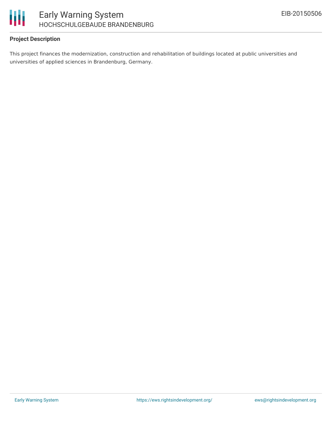

### **Project Description**

This project finances the modernization, construction and rehabilitation of buildings located at public universities and universities of applied sciences in Brandenburg, Germany.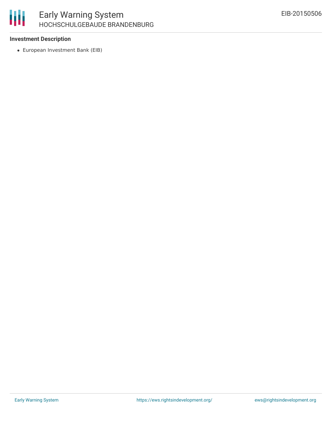

## Early Warning System HOCHSCHULGEBAUDE BRANDENBURG

#### **Investment Description**

European Investment Bank (EIB)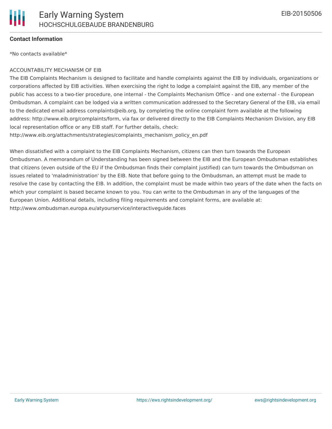

#### **Contact Information**

\*No contacts available\*

#### ACCOUNTABILITY MECHANISM OF EIB

The EIB Complaints Mechanism is designed to facilitate and handle complaints against the EIB by individuals, organizations or corporations affected by EIB activities. When exercising the right to lodge a complaint against the EIB, any member of the public has access to a two-tier procedure, one internal - the Complaints Mechanism Office - and one external - the European Ombudsman. A complaint can be lodged via a written communication addressed to the Secretary General of the EIB, via email to the dedicated email address complaints@eib.org, by completing the online complaint form available at the following address: http://www.eib.org/complaints/form, via fax or delivered directly to the EIB Complaints Mechanism Division, any EIB local representation office or any EIB staff. For further details, check:

http://www.eib.org/attachments/strategies/complaints\_mechanism\_policy\_en.pdf

When dissatisfied with a complaint to the EIB Complaints Mechanism, citizens can then turn towards the European Ombudsman. A memorandum of Understanding has been signed between the EIB and the European Ombudsman establishes that citizens (even outside of the EU if the Ombudsman finds their complaint justified) can turn towards the Ombudsman on issues related to 'maladministration' by the EIB. Note that before going to the Ombudsman, an attempt must be made to resolve the case by contacting the EIB. In addition, the complaint must be made within two years of the date when the facts on which your complaint is based became known to you. You can write to the Ombudsman in any of the languages of the European Union. Additional details, including filing requirements and complaint forms, are available at: http://www.ombudsman.europa.eu/atyourservice/interactiveguide.faces